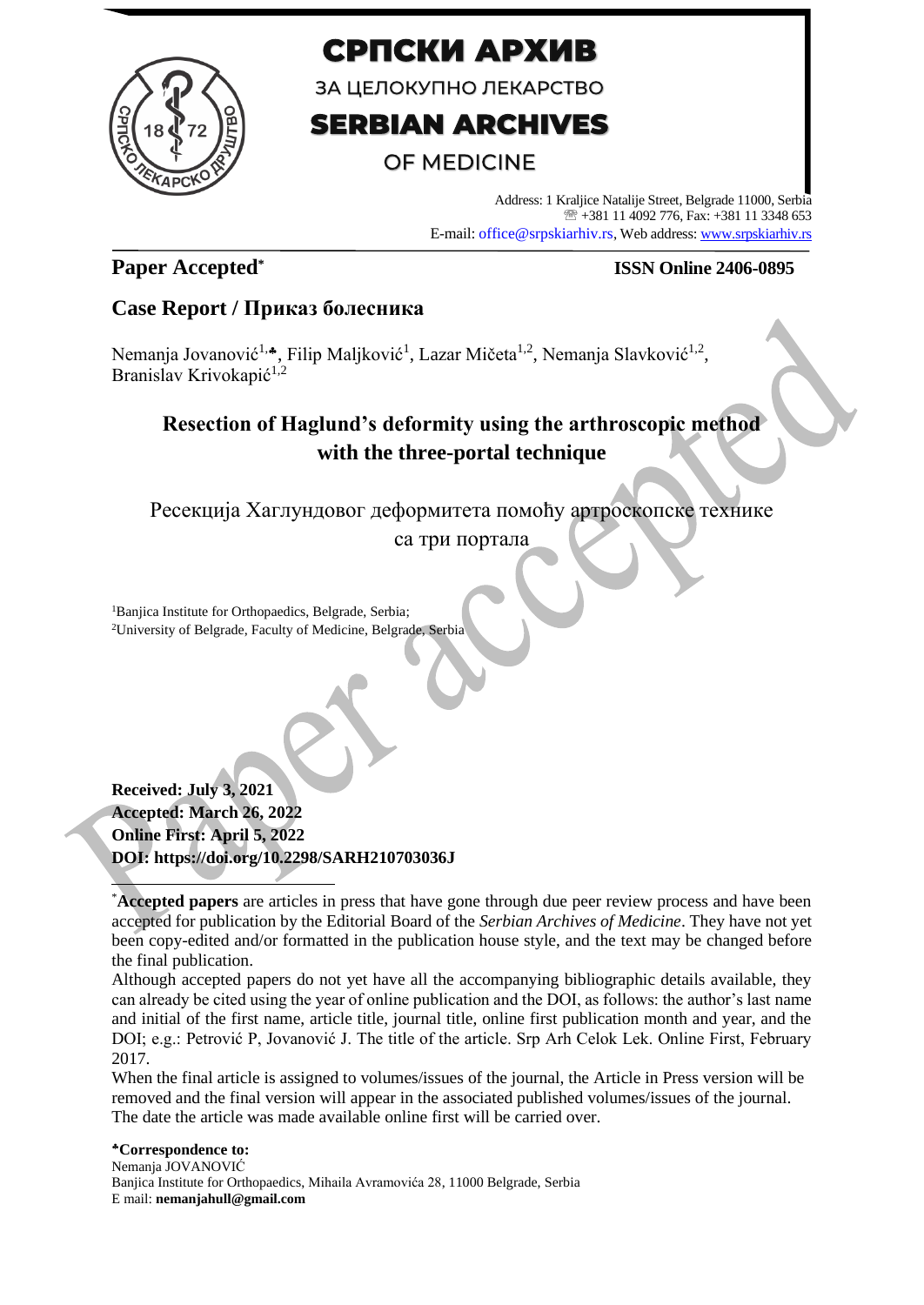

# СРПСКИ АРХИВ

ЗА ЦЕЛОКУПНО ЛЕКАРСТВО

# **SERBIAN ARCHIVES**

# **OF MEDICINE**

Address: 1 Kraljice Natalije Street, Belgrade 11000, Serbia +381 11 4092 776, Fax: +381 11 3348 653 E-mail: office@srpskiarhiv.rs, Web address[: www.srpskiarhiv.rs](http://www.srpskiarhiv.rs/)

## **Paper Accepted\***

#### **ISSN Online 2406-0895**

## **Case Report / Приказ болесника**

Nemanja Jovanović<sup>1,</sup>\*, Filip Maljković<sup>1</sup>, Lazar Mičeta<sup>1,2</sup>, Nemanja Slavković<sup>1,2</sup>, Branislav Krivokapić<sup>1,2</sup>

# **Resection of Haglund's deformity using the arthroscopic method with the three-portal technique**

Ресекција Хаглундовог деформитета помоћу артроскопске технике

са три портала

<sup>1</sup>Banjica Institute for Orthopaedics, Belgrade, Serbia; <sup>2</sup>University of Belgrade, Faculty of Medicine, Belgrade, Serbia

**Received: July 3, 2021 Accepted: March 26, 2022 Online First: April 5, 2022 DOI: https://doi.org/10.2298/SARH210703036J**

Although accepted papers do not yet have all the accompanying bibliographic details available, they can already be cited using the year of online publication and the DOI, as follows: the author's last name and initial of the first name, article title, journal title, online first publication month and year, and the DOI; e.g.: Petrović P, Jovanović J. The title of the article. Srp Arh Celok Lek. Online First, February 2017.

When the final article is assigned to volumes/issues of the journal, the Article in Press version will be removed and the final version will appear in the associated published volumes/issues of the journal. The date the article was made available online first will be carried over.

**Correspondence to:** Nemanja JOVANOVIĆ Banjica Institute for Orthopaedics, Mihaila Avramovića 28, 11000 Belgrade, Serbia E mail: **nemanjahull@gmail.com**

<sup>\*</sup>**Accepted papers** are articles in press that have gone through due peer review process and have been accepted for publication by the Editorial Board of the *Serbian Archives of Medicine*. They have not yet been copy-edited and/or formatted in the publication house style, and the text may be changed before the final publication.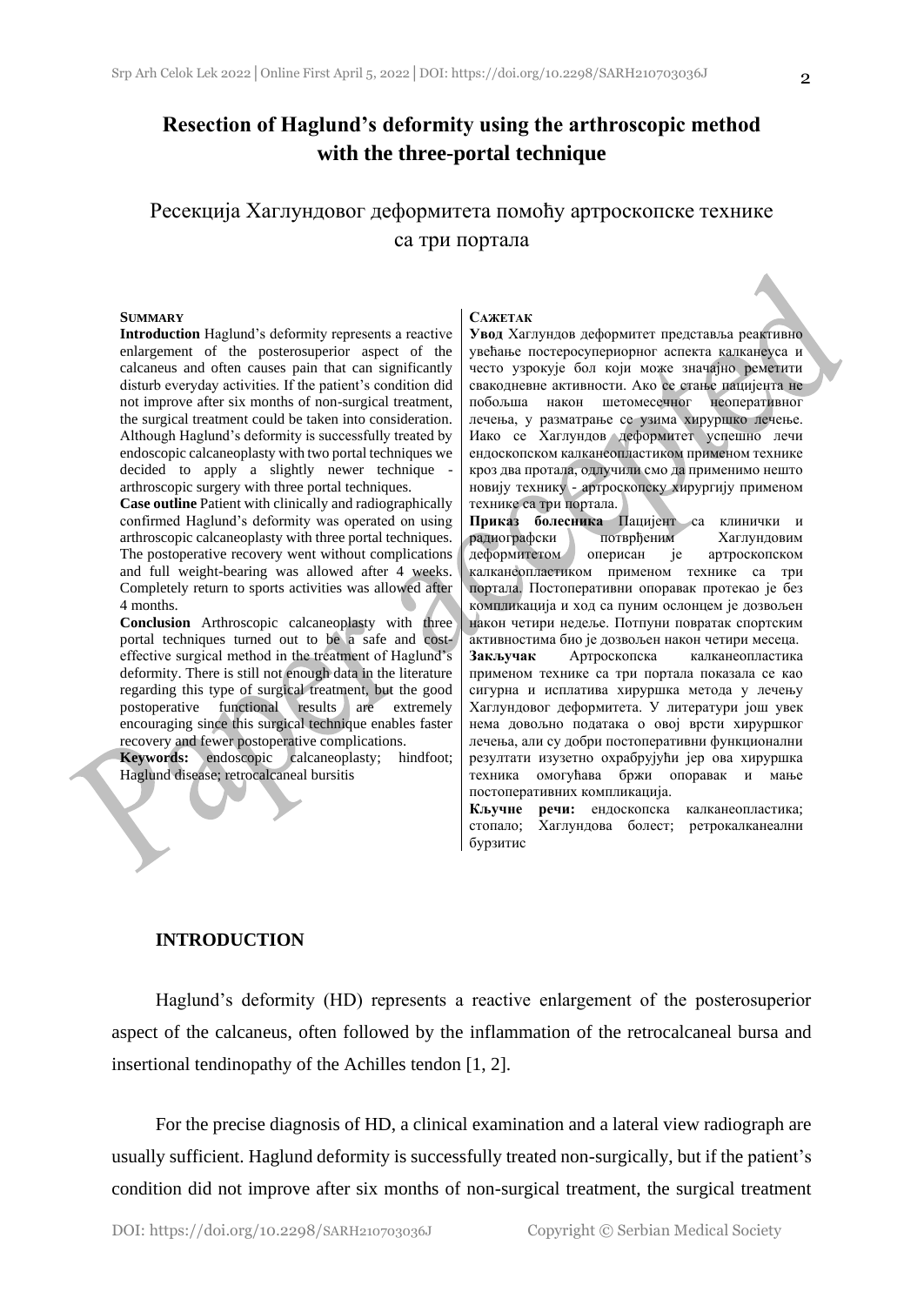### **Resection of Haglund's deformity using the arthroscopic method with the three-portal technique**

## Ресекција Хаглундовог деформитета помоћу артроскопске технике са три портала

#### **SUMMARY**

**Introduction** Haglund's deformity represents a reactive enlargement of the posterosuperior aspect of the calcaneus and often causes pain that can significantly disturb everyday activities. If the patient's condition did not improve after six months of non-surgical treatment, the surgical treatment could be taken into consideration. Although Haglund's deformity is successfully treated by endoscopic calcaneoplasty with two portal techniques we decided to apply a slightly newer technique arthroscopic surgery with three portal techniques.

**Case outline** Patient with clinically and radiographically confirmed Haglund's deformity was operated on using arthroscopic calcaneoplasty with three portal techniques. The postoperative recovery went without complications and full weight-bearing was allowed after 4 weeks. Completely return to sports activities was allowed after 4 months.

**Conclusion** Arthroscopic calcaneoplasty with three portal techniques turned out to be a safe and costeffective surgical method in the treatment of Haglund's deformity. There is still not enough data in the literature regarding this type of surgical treatment, but the good postoperative functional results are extremely encouraging since this surgical technique enables faster recovery and fewer postoperative complications.

**Keywords:** endoscopic calcaneoplasty; hindfoot; Haglund disease; retrocalcaneal bursitis

#### **САЖЕТАК**

**Увод** Хаглундов деформитет представља реактивно увећање постеросупериорног аспекта калканеуса и често узрокује бол који може значајно реметити свакодневне активности. Ако се стање пацијента не побољша након шетомесечног неоперативног лечења, у разматрање се узима хируршко лечење. Иако се Хаглундов деформитет успешно лечи ендоскопском калканеопластиком применом технике кроз два протала, одлучили смо да применимо нешто новију технику - артроскопску хирургију применом технике са три портала.

**Приказ болесника** Пацијент са клинички и радиографски потврђеним Хаглундовим деформитетом оперисан је артроскопском калканеопластиком применом технике са три портала. Постоперативни опоравак протекао је без компликација и ход са пуним ослонцем је дозвољен након четири недеље. Потпуни повратак спортским активностима био је дозвољен након четири месеца. **Закључак** Артроскопска калканеопластика применом технике са три портала показала се као сигурна и исплатива хируршка метода у лечењу Хаглундовог деформитета. У литератури још увек нема довољно података о овој врсти хируршког лечења, али су добри постоперативни функционални

резултати изузетно охрабрујући јер ова хируршка техника омогућава бржи опоравак и мање постоперативних компликација. **Кључне речи:** ендоскопска калканеопластика;

стопало; Хаглундова болест; ретрокалканеални бурзитис

#### **INTRODUCTION**

Haglund's deformity (HD) represents a reactive enlargement of the posterosuperior aspect of the calcaneus, often followed by the inflammation of the retrocalcaneal bursa and insertional tendinopathy of the Achilles tendon [1, 2].

For the precise diagnosis of HD, a clinical examination and a lateral view radiograph are usually sufficient. Haglund deformity is successfully treated non-surgically, but if the patient's condition did not improve after six months of non-surgical treatment, the surgical treatment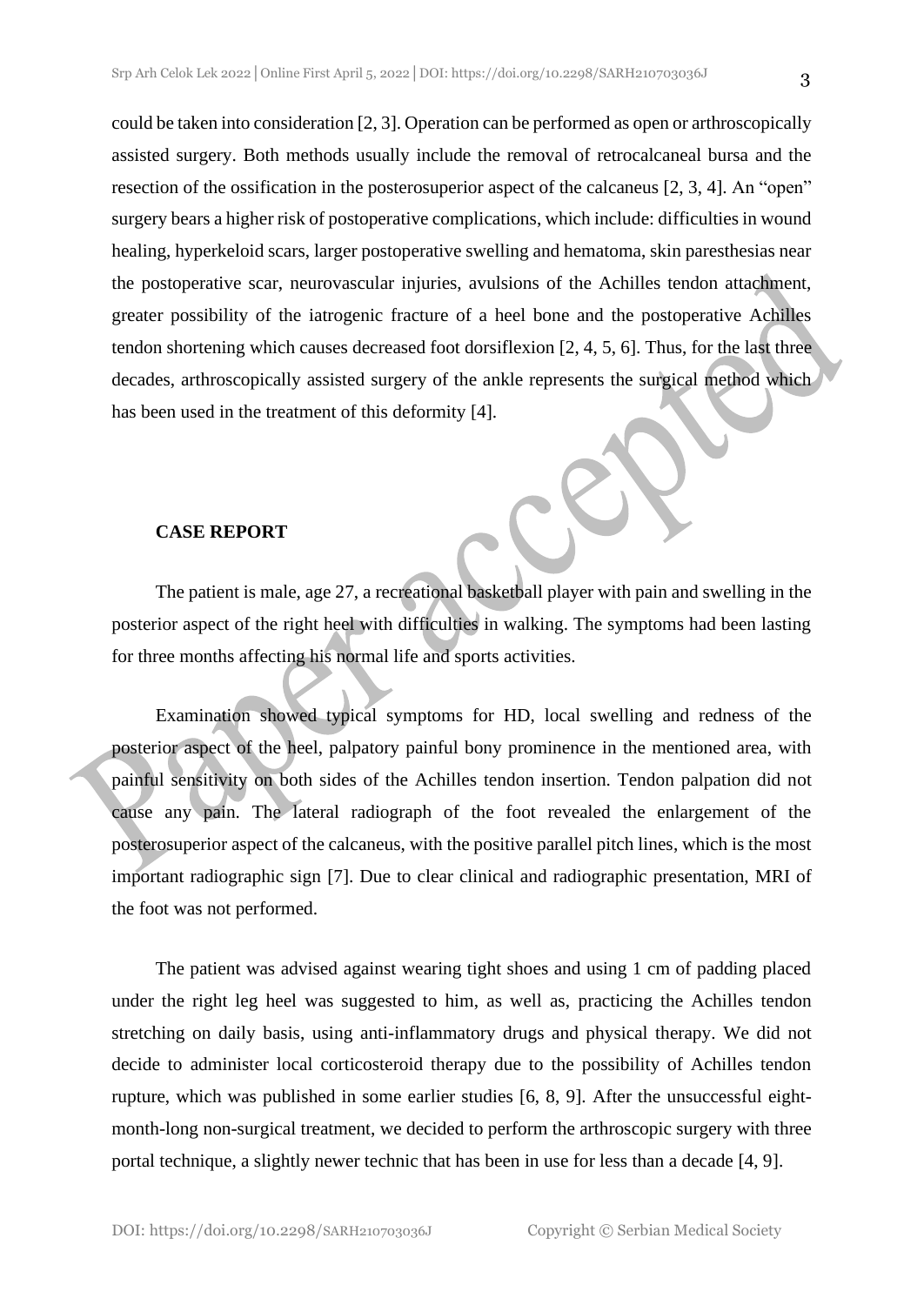could be taken into consideration [2, 3]. Operation can be performed as open or arthroscopically assisted surgery. Both methods usually include the removal of retrocalcaneal bursa and the resection of the ossification in the posterosuperior aspect of the calcaneus [2, 3, 4]. An "open" surgery bears a higher risk of postoperative complications, which include: difficulties in wound healing, hyperkeloid scars, larger postoperative swelling and hematoma, skin paresthesias near the postoperative scar, neurovascular injuries, avulsions of the Achilles tendon attachment, greater possibility of the iatrogenic fracture of a heel bone and the postoperative Achilles tendon shortening which causes decreased foot dorsiflexion [2, 4, 5, 6]. Thus, for the last three decades, arthroscopically assisted surgery of the ankle represents the surgical method which has been used in the treatment of this deformity [4].

#### **CASE REPORT**

The patient is male, age 27, a recreational basketball player with pain and swelling in the posterior aspect of the right heel with difficulties in walking. The symptoms had been lasting for three months affecting his normal life and sports activities.

Examination showed typical symptoms for HD, local swelling and redness of the posterior aspect of the heel, palpatory painful bony prominence in the mentioned area, with painful sensitivity on both sides of the Achilles tendon insertion. Tendon palpation did not cause any pain. The lateral radiograph of the foot revealed the enlargement of the posterosuperior aspect of the calcaneus, with the positive parallel pitch lines, which is the most important radiographic sign [7]. Due to clear clinical and radiographic presentation, MRI of the foot was not performed.

The patient was advised against wearing tight shoes and using 1 cm of padding placed under the right leg heel was suggested to him, as well as, practicing the Achilles tendon stretching on daily basis, using anti-inflammatory drugs and physical therapy. We did not decide to administer local corticosteroid therapy due to the possibility of Achilles tendon rupture, which was published in some earlier studies [6, 8, 9]. After the unsuccessful eightmonth-long non-surgical treatment, we decided to perform the arthroscopic surgery with three portal technique, a slightly newer technic that has been in use for less than a decade [4, 9].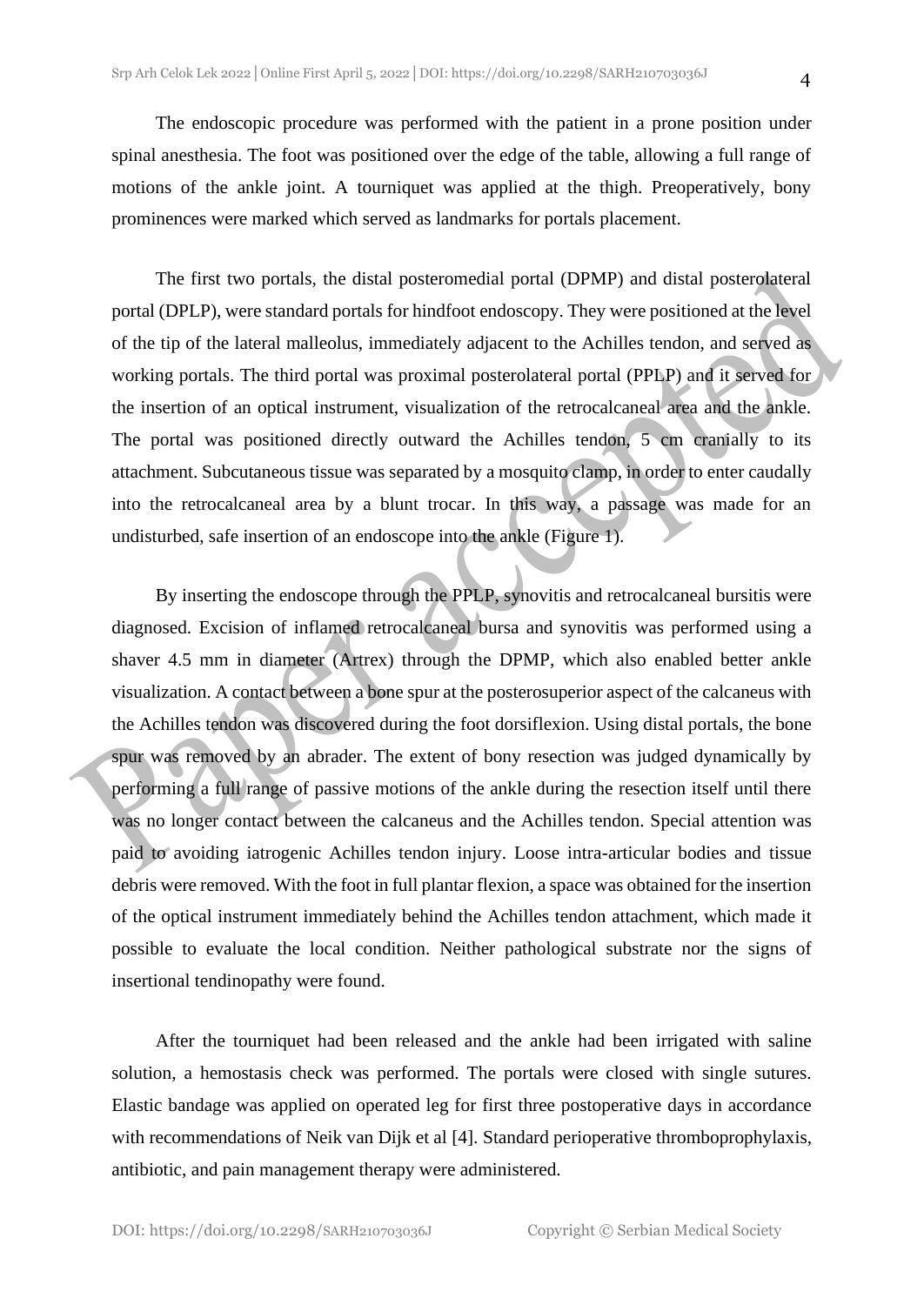The endoscopic procedure was performed with the patient in a prone position under spinal anesthesia. The foot was positioned over the edge of the table, allowing a full range of motions of the ankle joint. A tourniquet was applied at the thigh. Preoperatively, bony prominences were marked which served as landmarks for portals placement.

The first two portals, the distal posteromedial portal (DPMP) and distal posterolateral portal (DPLP), were standard portals for hindfoot endoscopy. They were positioned at the level of the tip of the lateral malleolus, immediately adjacent to the Achilles tendon, and served as working portals. The third portal was proximal posterolateral portal (PPLP) and it served for the insertion of an optical instrument, visualization of the retrocalcaneal area and the ankle. The portal was positioned directly outward the Achilles tendon, 5 cm cranially to its attachment. Subcutaneous tissue was separated by a mosquito clamp, in order to enter caudally into the retrocalcaneal area by a blunt trocar. In this way, a passage was made for an undisturbed, safe insertion of an endoscope into the ankle (Figure 1).

By inserting the endoscope through the PPLP, synovitis and retrocalcaneal bursitis were diagnosed. Excision of inflamed retrocalcaneal bursa and synovitis was performed using a shaver 4.5 mm in diameter (Artrex) through the DPMP, which also enabled better ankle visualization. A contact between a bone spur at the posterosuperior aspect of the calcaneus with the Achilles tendon was discovered during the foot dorsiflexion. Using distal portals, the bone spur was removed by an abrader. The extent of bony resection was judged dynamically by performing a full range of passive motions of the ankle during the resection itself until there was no longer contact between the calcaneus and the Achilles tendon. Special attention was paid to avoiding iatrogenic Achilles tendon injury. Loose intra-articular bodies and tissue debris were removed. With the foot in full plantar flexion, a space was obtained for the insertion of the optical instrument immediately behind the Achilles tendon attachment, which made it possible to evaluate the local condition. Neither pathological substrate nor the signs of insertional tendinopathy were found.

After the tourniquet had been released and the ankle had been irrigated with saline solution, a hemostasis check was performed. The portals were closed with single sutures. Elastic bandage was applied on operated leg for first three postoperative days in accordance with recommendations of Neik van Dijk et al [4]. Standard perioperative thromboprophylaxis, antibiotic, and pain management therapy were administered.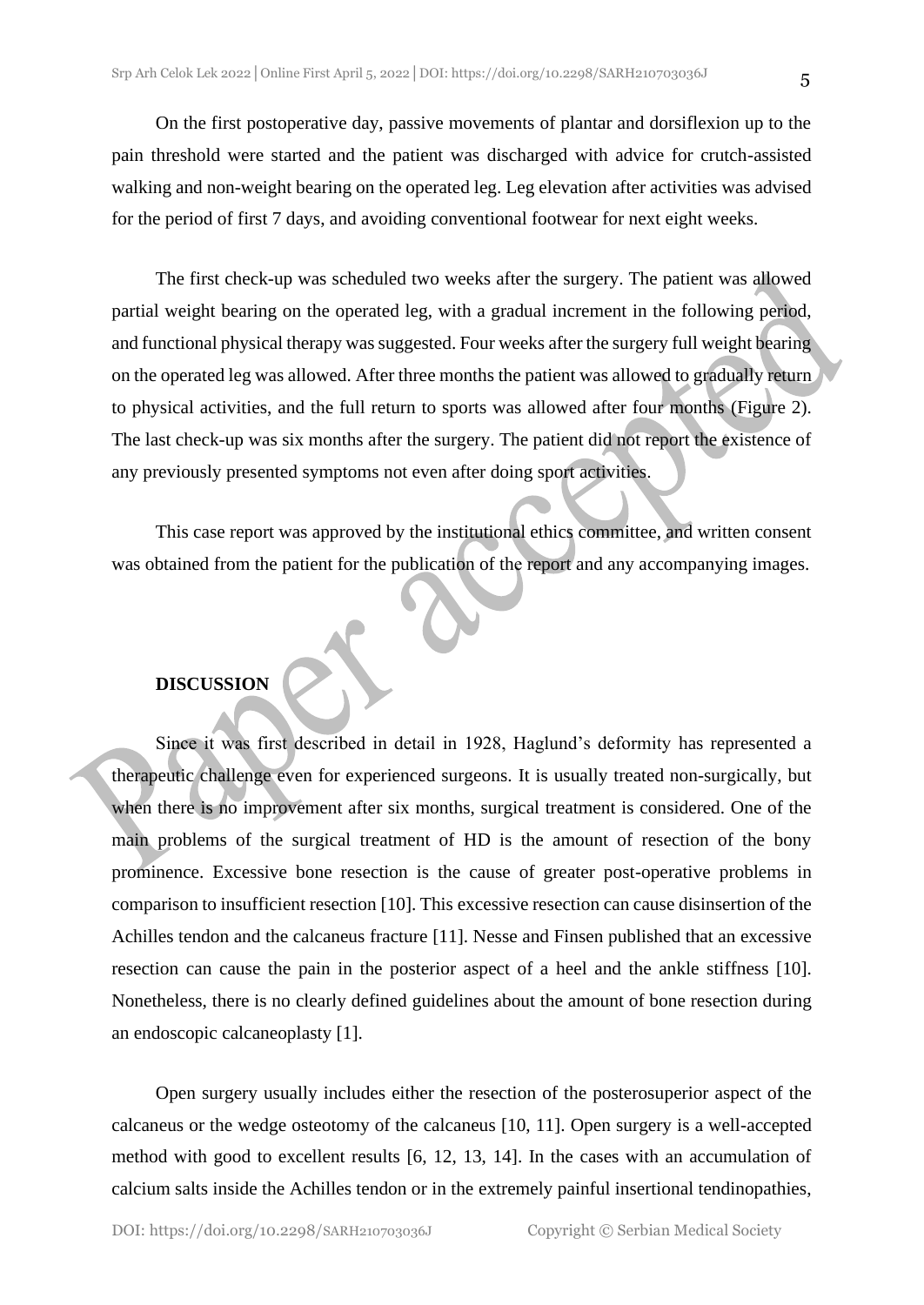On the first postoperative day, passive movements of plantar and dorsiflexion up to the pain threshold were started and the patient was discharged with advice for crutch-assisted walking and non-weight bearing on the operated leg. Leg elevation after activities was advised for the period of first 7 days, and avoiding conventional footwear for next eight weeks.

The first check-up was scheduled two weeks after the surgery. The patient was allowed partial weight bearing on the operated leg, with a gradual increment in the following period, and functional physical therapy was suggested. Four weeks after the surgery full weight bearing on the operated leg was allowed. After three months the patient was allowed to gradually return to physical activities, and the full return to sports was allowed after four months (Figure 2). The last check-up was six months after the surgery. The patient did not report the existence of any previously presented symptoms not even after doing sport activities.

This case report was approved by the institutional ethics committee, and written consent was obtained from the patient for the publication of thе report and any accompanying images.

#### **DISCUSSION**

Since it was first described in detail in 1928, Haglund's deformity has represented a therapeutic challenge even for experienced surgeons. It is usually treated non-surgically, but when there is no improvement after six months, surgical treatment is considered. One of the main problems of the surgical treatment of HD is the amount of resection of the bony prominence. Excessive bone resection is the cause of greater post-operative problems in comparison to insufficient resection [10]. This excessive resection can cause disinsertion of the Achilles tendon and the calcaneus fracture [11]. Nesse and Finsen published that an excessive resection can cause the pain in the posterior aspect of a heel and the ankle stiffness [10]. Nonetheless, there is no clearly defined guidelines about the amount of bone resection during an endoscopic calcaneoplasty [1].

Open surgery usually includes either the resection of the posterosuperior aspect of the calcaneus or the wedge osteotomy of the calcaneus [10, 11]. Open surgery is a well-accepted method with good to excellent results [6, 12, 13, 14]. In the cases with an accumulation of calcium salts inside the Achilles tendon or in the extremely painful insertional tendinopathies,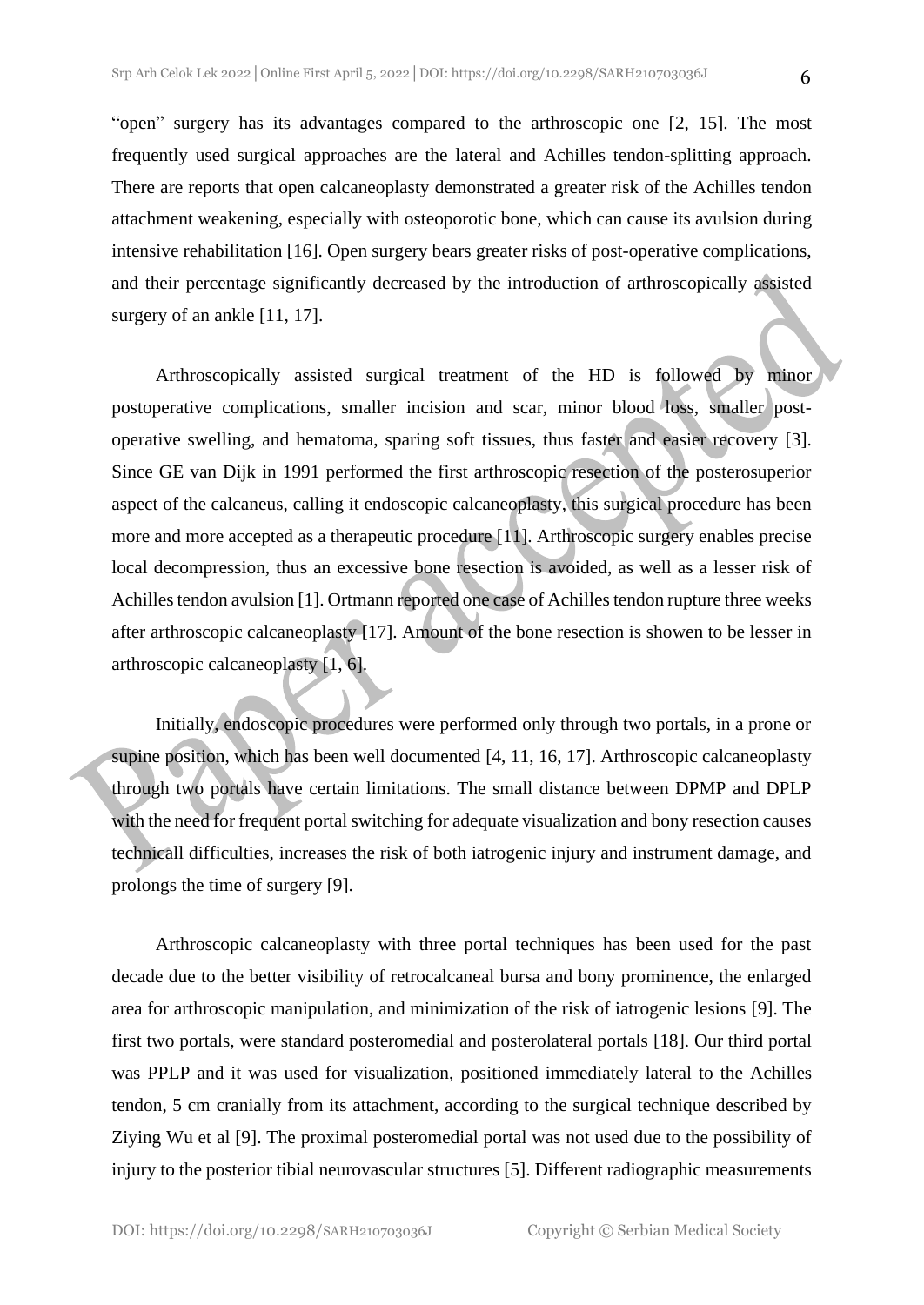"open" surgery has its advantages compared to the arthroscopic one [2, 15]. The most frequently used surgical approaches are the lateral and Achilles tendon-splitting approach. There are reports that open calcaneoplasty demonstrated a greater risk of the Achilles tendon attachment weakening, especially with osteoporotic bone, which can cause its avulsion during intensive rehabilitation [16]. Open surgery bears greater risks of post-operative complications, and their percentage significantly decreased by the introduction of arthroscopically assisted surgery of an ankle [11, 17].

Arthroscopically assisted surgical treatment of the HD is followed by minor postoperative complications, smaller incision and scar, minor blood loss, smaller postoperative swelling, and hematoma, sparing soft tissues, thus faster and easier recovery [3]. Since GE van Dijk in 1991 performed the first arthroscopic resection of the posterosuperior aspect of the calcaneus, calling it endoscopic calcaneoplasty, this surgical procedure has been more and more accepted as a therapeutic procedure [11]. Arthroscopic surgery enables precise local decompression, thus an excessive bone resection is avoided, as well as a lesser risk of Achilles tendon avulsion [1]. Ortmann reported one case of Achilles tendon rupture three weeks after arthroscopic calcaneoplasty [17]. Amount of the bone resection is showen to be lesser in arthroscopic calcaneoplasty [1, 6].

Initially, endoscopic procedures were performed only through two portals, in a prone or supine position, which has been well documented [4, 11, 16, 17]. Arthroscopic calcaneoplasty through two portals have certain limitations. The small distance between DPMP and DPLP with the need for frequent portal switching for adequate visualization and bony resection causes technicall difficulties, increases the risk of both iatrogenic injury and instrument damage, and prolongs the time of surgery [9].

Arthroscopic calcaneoplasty with three portal techniques has been used for the past decade due to the better visibility of retrocalcaneal bursa and bony prominence, the enlarged area for arthroscopic manipulation, and minimization of the risk of iatrogenic lesions [9]. The first two portals, were standard posteromedial and posterolateral portals [18]. Our third portal was PPLP and it was used for visualization, positioned immediately lateral to the Achilles tendon, 5 cm cranially from its attachment, according to the surgical technique described by Ziying Wu et al [9]. The proximal posteromedial portal was not used due to the possibility of injury to the posterior tibial neurovascular structures [5]. Different radiographic measurements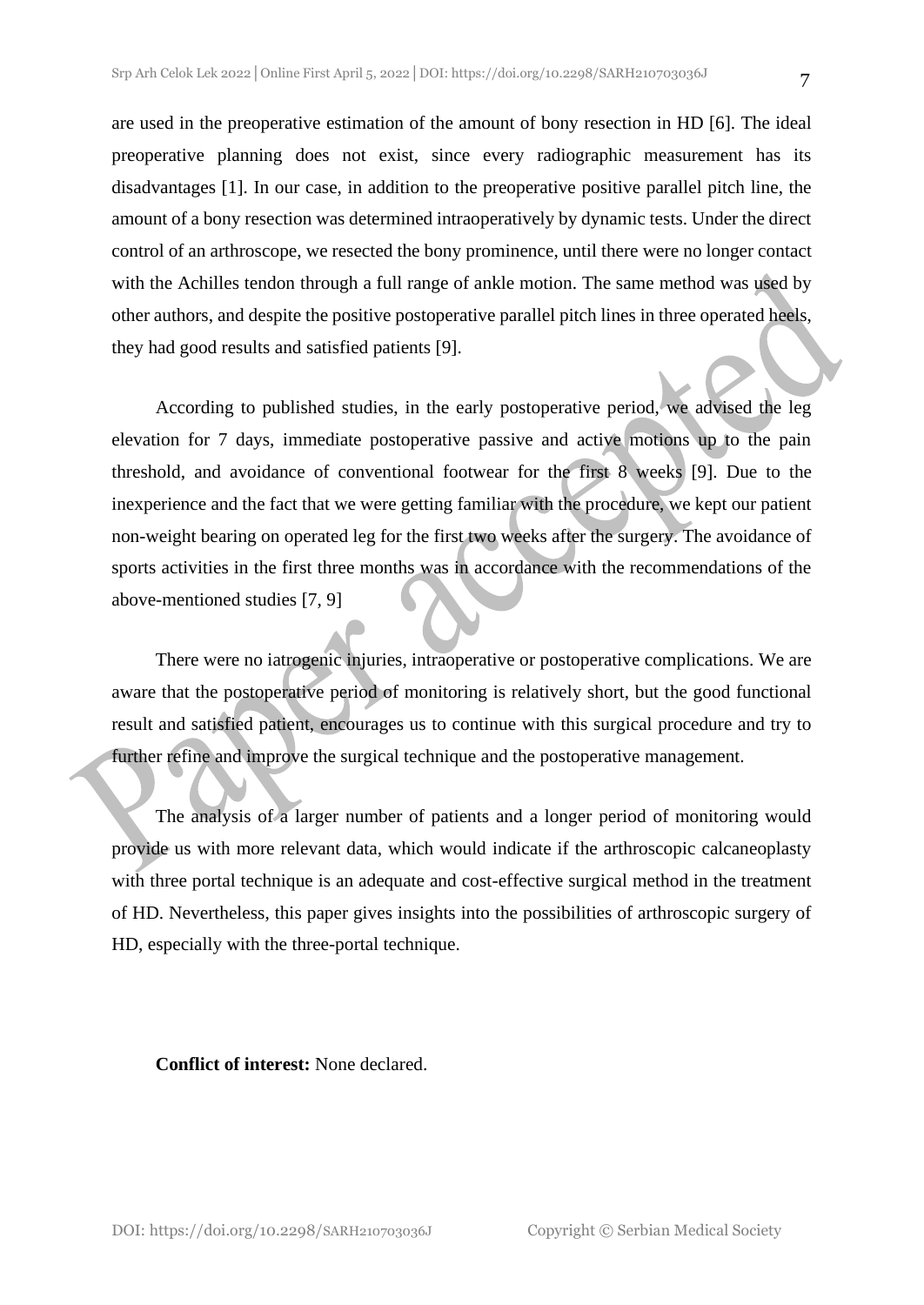are used in the preoperative estimation of the amount of bony resection in HD [6]. The ideal preoperative planning does not exist, since every radiographic measurement has its disadvantages [1]. In our case, in addition to the preoperative positive parallel pitch line, the amount of a bony resection was determined intraoperatively by dynamic tests. Under the direct control of an arthroscope, we resected the bony prominence, until there were no longer contact with the Achilles tendon through a full range of ankle motion. The same method was used by other authors, and despite the positive postoperative parallel pitch lines in three operated heels, they had good results and satisfied patients [9].

According to published studies, in the early postoperative period, we advised the leg elevation for 7 days, immediate postoperative passive and active motions up to the pain threshold, and avoidance of conventional footwear for the first 8 weeks [9]. Due to the inexperience and the fact that we were getting familiar with the procedure, we kept our patient non-weight bearing on operated leg for the first two weeks after the surgery. The avoidance of sports activities in the first three months was in accordance with the recommendations of the above-mentioned studies [7, 9]

There were no iatrogenic injuries, intraoperative or postoperative complications. We are aware that the postoperative period of monitoring is relatively short, but the good functional result and satisfied patient, encourages us to continue with this surgical procedure and try to further refine and improve the surgical technique and the postoperative management.

The analysis of a larger number of patients and a longer period of monitoring would provide us with more relevant data, which would indicate if the arthroscopic calcaneoplasty with three portal technique is an adequate and cost-effective surgical method in the treatment of HD. Nevertheless, this paper gives insights into the possibilities of arthroscopic surgery of HD, especially with the three-portal technique.

**Conflict of interest:** None declared.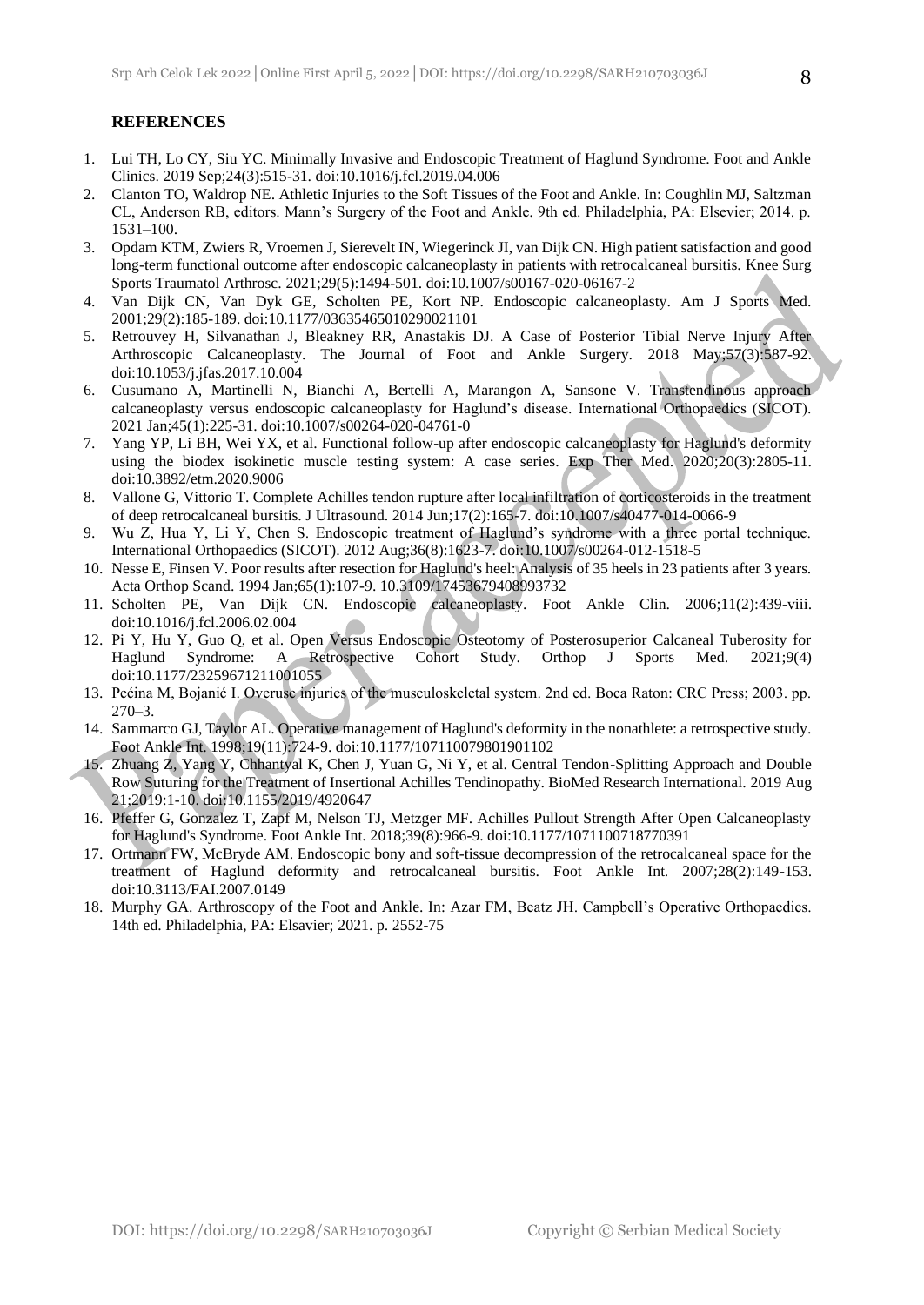#### **REFERENCES**

- 1. Lui TH, Lo CY, Siu YC. Minimally Invasive and Endoscopic Treatment of Haglund Syndrome. Foot and Ankle Clinics. 2019 Sep;24(3):515-31. doi:10.1016/j.fcl.2019.04.006
- 2. Clanton TO, Waldrop NE. Athletic Injuries to the Soft Tissues of the Foot and Ankle. In: Coughlin MJ, Saltzman CL, Anderson RB, editors. Mann's Surgery of the Foot and Ankle. 9th ed. Philadelphia, PA: Elsevier; 2014. p. 1531–100.
- 3. Opdam KTM, Zwiers R, Vroemen J, Sierevelt IN, Wiegerinck JI, van Dijk CN. High patient satisfaction and good long-term functional outcome after endoscopic calcaneoplasty in patients with retrocalcaneal bursitis. Knee Surg Sports Traumatol Arthrosc. 2021;29(5):1494-501. doi:10.1007/s00167-020-06167-2
- 4. Van Dijk CN, Van Dyk GE, Scholten PE, Kort NP. Endoscopic calcaneoplasty. Am J Sports Med. 2001;29(2):185-189. doi:10.1177/03635465010290021101
- 5. Retrouvey H, Silvanathan J, Bleakney RR, Anastakis DJ. A Case of Posterior Tibial Nerve Injury After Arthroscopic Calcaneoplasty. The Journal of Foot and Ankle Surgery. 2018 May;57(3):587-92. doi:10.1053/j.jfas.2017.10.004
- 6. Cusumano A, Martinelli N, Bianchi A, Bertelli A, Marangon A, Sansone V. Transtendinous approach calcaneoplasty versus endoscopic calcaneoplasty for Haglund's disease. International Orthopaedics (SICOT). 2021 Jan;45(1):225-31. doi:10.1007/s00264-020-04761-0
- 7. Yang YP, Li BH, Wei YX, et al. Functional follow-up after endoscopic calcaneoplasty for Haglund's deformity using the biodex isokinetic muscle testing system: A case series. Exp Ther Med. 2020;20(3):2805-11. doi:10.3892/etm.2020.9006
- 8. Vallone G, Vittorio T. Complete Achilles tendon rupture after local infiltration of corticosteroids in the treatment of deep retrocalcaneal bursitis. J Ultrasound. 2014 Jun;17(2):165-7. doi:10.1007/s40477-014-0066-9
- 9. Wu Z, Hua Y, Li Y, Chen S. Endoscopic treatment of Haglund's syndrome with a three portal technique. International Orthopaedics (SICOT). 2012 Aug;36(8):1623-7. doi:10.1007/s00264-012-1518-5
- 10. Nesse E, Finsen V. Poor results after resection for Haglund's heel: Analysis of 35 heels in 23 patients after 3 years. Acta Orthop Scand. 1994 Jan;65(1):107-9. 10.3109/17453679408993732
- 11. Scholten PE, Van Dijk CN. Endoscopic calcaneoplasty. Foot Ankle Clin. 2006;11(2):439-viii. doi:10.1016/j.fcl.2006.02.004
- 12. Pi Y, Hu Y, Guo Q, et al. Open Versus Endoscopic Osteotomy of Posterosuperior Calcaneal Tuberosity for Haglund Syndrome: A Retrospective Cohort Study. Orthop J Sports Med. 2021;9(4) doi:10.1177/23259671211001055
- 13. Pećina M, Bojanić I. Overuse injuries of the musculoskeletal system. 2nd ed. Boca Raton: CRC Press; 2003. pp.  $270 - 3$ .
- 14. Sammarco GJ, Taylor AL. Operative management of Haglund's deformity in the nonathlete: a retrospective study. Foot Ankle Int. 1998;19(11):724-9. doi:10.1177/107110079801901102
- 15. Zhuang Z, Yang Y, Chhantyal K, Chen J, Yuan G, Ni Y, et al. Central Tendon-Splitting Approach and Double Row Suturing for the Treatment of Insertional Achilles Tendinopathy. BioMed Research International. 2019 Aug 21;2019:1-10. doi:10.1155/2019/4920647
- 16. Pfeffer G, Gonzalez T, Zapf M, Nelson TJ, Metzger MF. Achilles Pullout Strength After Open Calcaneoplasty for Haglund's Syndrome. Foot Ankle Int. 2018;39(8):966-9. doi:10.1177/1071100718770391
- 17. Ortmann FW, McBryde AM. Endoscopic bony and soft-tissue decompression of the retrocalcaneal space for the treatment of Haglund deformity and retrocalcaneal bursitis. Foot Ankle Int. 2007;28(2):149-153. doi:10.3113/FAI.2007.0149
- 18. Murphy GA. Arthroscopy of the Foot and Ankle. In: Azar FM, Beatz JH. Campbell's Operative Orthopaedics. 14th ed. Philadelphia, PA: Elsavier; 2021. p. 2552-75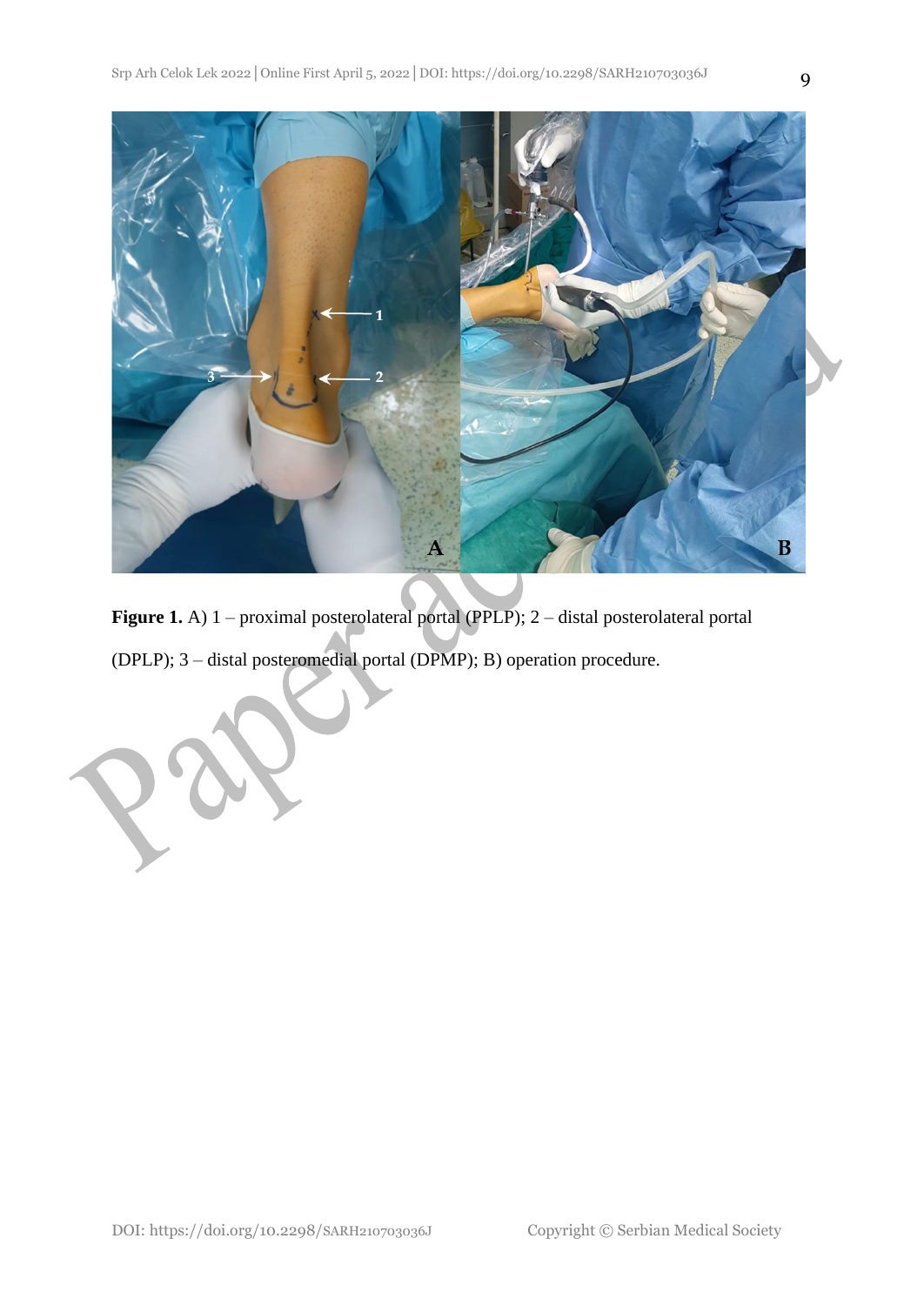

**Figure 1.** A) 1 – proximal posterolateral portal (PPLP); 2 – distal posterolateral portal (DPLP); 3 – distal posteromedial portal (DPMP); B) operation procedure.